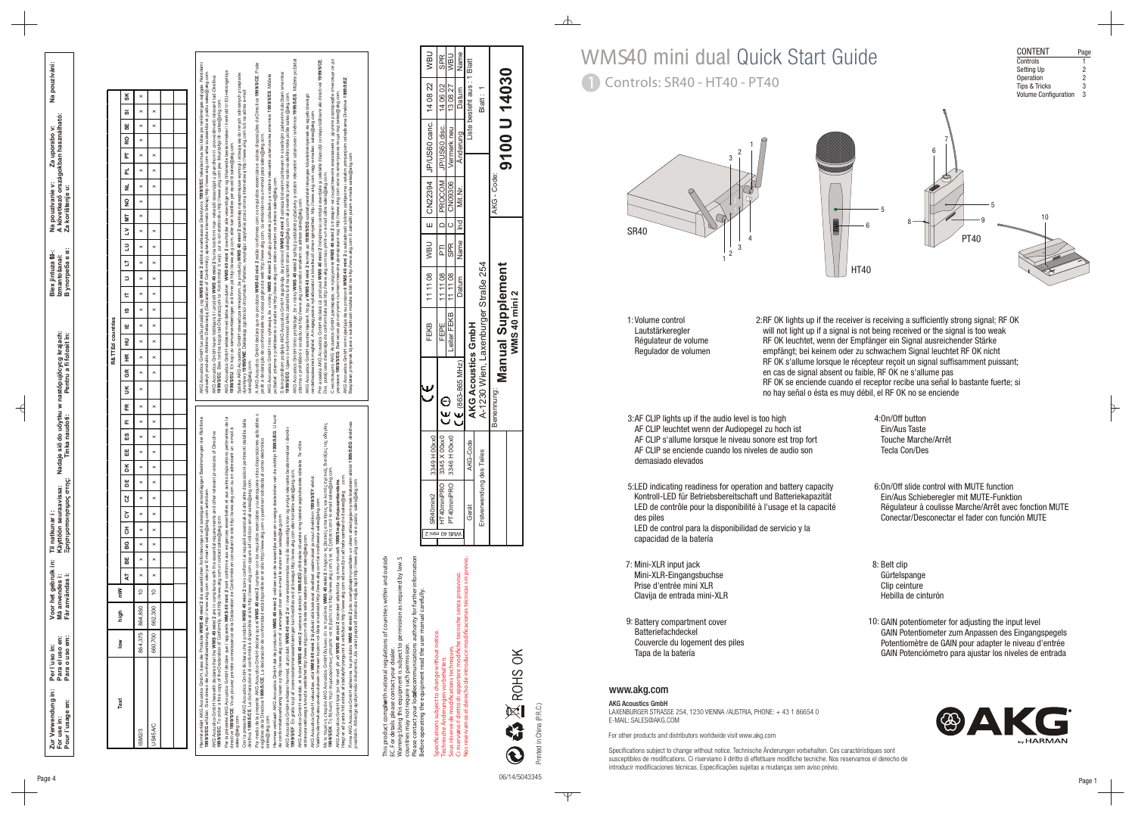

| CONTENT                     | Page |
|-----------------------------|------|
| Controls                    |      |
| Setting Up                  | 2    |
| Operation                   | 2    |
| <b>Tips &amp; Tricks</b>    | 3    |
| <b>Volume Configuration</b> | 3    |



 $\mathbb \nabla$ 



ww w.ak g.com

Specifications subject to change without notice. Technische Änderungen vorbehalten. Ces caractéristiques sont susceptibles de modifications. Ci riserviamo il diritto di effettuare modifiche tecniche. Nos reservamos el derecho de introducir modificaciones técnicas. Especificações sujeitas a mudanças sem aviso prévio.

# 1 Controls: SR40 - HT40 - PT40 WMS40 mini dual Quick Start Guide

AKG Acoustics GmbH LAXENBURGER STRASSE 254, 1230 VIENNA /AUSTRIA, PHONE: + 43 1 86654 0 E-MAIL: SALES@AKG.COM

2:RF OK lights up if the receiver is receiving a sufficiently strong signal; RF OK will not light up if a signal is not being received or the signal is too weak RF OK leuchtet, wenn der Empfänger ein Signal ausreichender Stärke empfängt; bei keinem oder zu schwachem Signal leuchtet RF OK nicht RF OK s'allume lorsque le récepteur reçoit un signal suffisamment puissant; en cas de signal absent ou faible, RF OK ne s'allume pas RF OK se enciende cuando el receptor recibe una señal lo bastante fuerte; si no hay señal o ésta es muy débil, el RF OK no se enciende

For other products and distributors worldwide visit ww w.akg.com

1: 2: Volume control Lautstärkeregler Régulateur de volume Regulador de volumen

> 6:0n/Off slide control with MUTE function Ein/Aus Schieberegler mit MUTE-Funktion Régulateur à coulisse Marche/Arrêt avec fonction MUTE Conectar/Desconectar el fader con función MUTE

4: On/Off button Ein/Aus TasteTouche Marche/ArrêtTecla Con/Des

- 8: Belt clip Gürtelspange Clip ceinture Hebilla de cinturón
- 9: 10: Battery compartment cover 10: GAIN potentiometer for adjusting the input level GAIN Potentiometer zu m Anpassen des Eingangspegels Potentiomètre de GAIN pour adapter le niveau d'entrée GAIN Potenciómetro para ajustar los niveles de entrada



- 
- 3: AF CLIP lights up if the audio level is too high AF CLIP leuchtet wenn der Audiopegel zu hoch ist AF CLIP s'allume lorsque le niveau sonore est trop fort AF CLIP se enciende cuando los niveles de audio son demasiado elevados
- 5: 6: LED indicating readiness for operation and battery capacity Kontroll-LED für Betriebsbereitschaft und Batteriekapazität LED de contrôle pour la disponibilité à l'usage et la capacité des piles
- 7: 8: Mini-XLR input jack capacidad de la batería
- 



LED de control para la disponibilidad de servicio y la

Mini-XLR-Eingangsbuchse Prise d'entrée mini XLR Clavija de entrada mini-XLR

Batteriefachdeckel

Couvercle du logement des piles

 $\overline{a}$   $\overline{b}$   $\overline{c}$   $\overline{c}$ 

Tapa de la batería

**Zur Verwendung in: Per l´uso in: Voor het gebruik in: Til natkunar i : Biex jintuza f l-: Na pouzívání: Ξρησιμοποιησιμоς στης: Tinka naudoti: Pentru a fi folosit în: В употреба е в: For use in: Para el uso en: Izmantošanai:** Nadaje siő do uőytku w nastőpujőcycg krajach:<br>Tinka naudoti:<br>Pentru a fi folosit în: **Käyttöön seuraavissa: Nadaje siő do uőytku w nastőpujőcycg krajach:** ' :<br>uraavissa:<br>nouoc ornc: Til natkur<br>Käyttöön<br>Eonתווחס  $\Xi$ Voor het gebruik i<br>Må anvendes i:<br>Får användas i: **Får användas i: Må anvendes i:** ´uso in:<br>el uso en:<br>o uso em: **Pour l´usage en: Para o uso em:** Per l'u<br>Para de<br>Para d iu bur

 $\overline{\mathcal{A}}$ 

**A következő országokban használható: Na pouzívanie v: Za uporabo v: Za korištenje u:** Biex jintuza f⊠∹<br>Izmantošanai:<br>B vnorne6a e e:

 $\frac{1}{2}$ 

This product complie ith national regulations of countries within and outside  $t$ Warning:Using this equipment is subject to permission as required by law. S within sion as rec σŕ countries may not require such permission. EC. For details please contact your dealer.

Hægt er að panta frítt eintak af staðalyfirlýsingunni á vefsíðunni http://www.akg.com eða með því að hafa samband við sales@akg .com.

Firma AKG Acoustics GmbH apliecina, ka produkts **WMS 40 mini 2** pēc svarīgākajām prasībām un citiem attiecīgajiem priekšrakstiem atbilst **1999/5/EG** direktīvas

| 3R40mini2                 | 0xx0<br>3349 H |                                     | <b>FEKB</b>              |                    |         |                   | 111108   WBU   E   CN22394   JP/US60 canc.   14 08 22 |                            | <b>UBN</b> |
|---------------------------|----------------|-------------------------------------|--------------------------|--------------------|---------|-------------------|-------------------------------------------------------|----------------------------|------------|
| T40miniPRO 3345 X         | 00xx0          | ⊝<br>V                              | FEPE                     | 111108             | -<br>FL |                   | D   PROCOM   JP/US60 disc.   14 06 02                 |                            | <b>SPR</b> |
| 140miniPRO 3346 H         | 00xx0          |                                     | Leiter FEKB   11 11 08   |                    |         | SPR   C   CN09306 | Vermerk neu   13 08 27                                |                            | <b>VBU</b> |
|                           |                | $(863 - 865 \text{ MHz})$           |                          | Datum   Name   Ind |         | Mit.Nr.           | Anderung                                              | Datum                      | Name       |
| Gerät                     | Code<br>AKG-C  | AKG Acoustics GmbH                  |                          |                    |         |                   |                                                       | Liste besteht aus: 1 Blatt |            |
| Erstverwendung des Teiles |                | A-1230 Wien, Laxenburger Straße 254 |                          |                    |         |                   |                                                       | Blatt: 1                   |            |
|                           |                | Benennung:                          | <b>Manual Supplement</b> |                    |         | AKG - Code:       | 9100 U 14030                                          |                            |            |
|                           |                |                                     | <b>WMS 40 mini 2</b>     |                    |         |                   |                                                       |                            |            |

Prin aceasta AKG Acoustics GmbH declară că produsul **WMS 40 mini 2** îndeplinesc cerinţele esenţiale şi celelalte dispoziţii corespunzătoare ale directivei **1999/5/CE**. AKG Acoustics GmbH tímto prohlašuje, že v robky **WMS 40 mini 2** splňují podstatné požadavky a ostatní relevantní ustanovení směrnice **1999/5/ES**. Můžete požádat настоящото AKG Acoustics GmbH декларира, че продуктите **WMS 40 mini 2** отговарят на съществените изисквания и другите разпоредби отнасящи се до AKG Acoustics GmbH tuo pačiu pripažįsta, jog **WMS 40 mini 2** atitinka svarbiausius Direktyvos **1999/5/EC** reikalavimus bei kitas jos reikšmingas sąlygas. Norėdami AKG Acoustics GmbH declara que os produtos **WMS 40 mini 2** estão conformes com os requisitos essenciais e outras disposições da Directiva **1999/5/CE**. Pode AKG Acoustics GmbH erklærer med dette at produkter: **WMS 40 mini 2** overholder alle vesentlige krav og tilhørende bestemmelser i henhold til EU-retningslinje užsisakyti produkto Atitikimo Deklaraciją (Declaration of Conformity), aplankykite interneto tinklapį http://www.akg.com arba susisiekite el. paštu sales@akg.com. tem potrdilom podjetje AKG Acoustics GmbH zagotavlja, da proizvod **WMS 40 mini 2** ustreza bistvenim zahtevam in siceršnjim zadevnim določbam smernice Spółka AKG Acoustics GmbH oświadcza niniejszym, że produkty **WMS 40 mini 2** spełniają najważniejsze wymogi i stosują się do innych odnośnych przepisów AKG Acoustics GmbH t mto vyhlasuje, že v robky **WMS 40 mini 2** splňujú podstatné požiadavky a ostatné relevanté ustanovenia smernice **1999/5/ES**. Môžete AKG Acoustics GmbH hawn tiddikjara li l-prodotti **WMS 40 mini 2** huma konformi mar- rekwiziti essenzjali u ghandhom il- provvedimenti relevanti tad-Direttiva dyrektywy **1999/5/WE**. Deklarację zgodności otrzymacie Państwo, wysyłając zapytanie przez stronę internetową http://www.akg.com lub na adres e-mail: указание **1999/5/EG**. Вие може да получите съответствената декларация под http://www.akg.com или по електронна поща под sales@akg.com. **1999/5/EG**. Izjawo o konformnosti lahko zasledite tudi na spletni strani sales@akg.com ali preverite preko naslova elektronske pošte sales@akg.com. AKG Acoustics GmbH ezennel kijelenti, hogy a **WMS 40 mini 2** termék az **1999/5/EG** szabályrendelet lényeges követelményeinek és egyéb idevágó **1999/5/EC**. Biex tordna kopja tad-Dikjarazzjoni ta´ Konformita` b´xejn, zur is–sit elettroniku http://www.akg.com jew ikkuntattja lill- sales@akg.com. rendelkezéseinek megfelel. A megegyezési nyilatkozatot a következő címen igényelheti: http://www.akg.com vagy e-mailen: sales@akg.com. pedir a declaração de conformidade na nossa página da web http://www.akg.com, ou enviando-nos um email para sales@akg.com. **1999/5/EU**. En kopi av samvarserklæringen er å finne på http://www.ak g.com, eller kan bestilles per epost til sales@akg.com. Dvs. puteţi cere declaraţia de conformitate sub http://www.akg.com sau printr-un e-mail către sales@akg.com. požiadat´ zdarma o prehlásenie o súlade na http://www.akg.com alebo emailom na adrese sales@akg.com. zdarma o prohlášení o souladu na http://www.akg.com anebo emailem na adrese sales@akg.com. iav<br>≥ sales@akg.com. A $\omega$ Por medio de la presente AKG Acoustics GmbH declara que el **WMS 40 mini 2** cumplen con los requisitos esenciales y cualesquiera otras disposiciones aplicables o Hiermee verklaart AKG Acoustics GmbH dat de producten **WMS 40 mini 2** voldoen aan de wezenlijke eisen en overige doeleinden van de richtlijn **1999/5/EG**. U kunt Hiermit erklärt AKG Acoustics GmbH, dass die Produkte **WMS 40 mini 2** die wesentlichen Anforderungen und sonstigen einschlägigen Bestimmungen der Richtlinie Par la présente AKG Acoustics GmbH déclare que l´appareils **WMS 40 mini 2** sont conforme aux exigences essentielles et aux autres dispositions pertinentes de la Con la presente AKG Acoustics GmbH dichiara che il prodotto **WMS 40 mini 2** sono conformi ai requisiti essenziali ed alle altre disposizioni pertinenti stabilite dalla Με το παρόν η εταιρεία AKG Acoustics GmbH δηλώνει ότι τα προϊόντα **WMS 40 mini 2** πληρούν τις βασικές απαιτήσεις και λοιπές σχετικές διατάξεις της οδηγίας directive **1999/5/CE**. Vous pouvez prendre connaissance de la Déclaration de Conformité en consultant le site http://www.akg.com ou en adressant un e-mail à AKG Acoustics GmbH erklærer hermed, at produkt **WMS 40 mini 2** er i overensstemmelse med de væsentlige krav og øvrige relevante bestemmelser i direktiv AKG Acoustics GmbH herewith declares that the **WMS 40 mini 2** are in compliance with the essential requirements and other relevant provisions of Directive exigibles de la Directiva **1999/5/CE**. La declaración de conformidad está disponible en el sitio http://www.akg.com o puede ser solicitada al correo electrónico AKG Acoustics GmbH avaldab, et tooted **WMS 40 mini 2** vastavad direktiivi **1999/5/EÜ** põhilistele nõuetele ning teistele asjakohastele sätetele. Te võite tielles et aux autres dispositions per **1999/5/EK**. Тη δήλωση περί συμμορφώσεως μπορείτε να τη βρείτε στο http://www.akg.com ή να τη ζητήσετε από το email sales@akg.com. **1999/5/EF**. En gratis kopi af overensstemmelseserklæringen kan bestilles ved at besøge http://www.akg.com eller kontakte sales@akg.com. AKG Acoustics GmbH vakuuttaa, että **WMS 40 mini 2** täyttävät sitä koskevat oleelliset vaatimukset ja muut direktiivin **1999/5/EY** ehdot. omές σχε<br>ales@akg. direttiva **1999/5/CE**. La dichiarazione di conformità è disponibile al sito http://www.akg.com oppure all´indirizzo email sales@akg.com. AKG Acoustics GmbH lýsir því hér með yfir að **WMS 40 mini 2** standast aðalkröfur og önnur ákvæði **1999/5 reglu Evópusambandsins**. **1999/5/EG** erfüllen. Sie können die Konformitätserklärung auf http:// www.akg.com oder per E-mail an sales@akg.com anfordern. Vaatimustenmukaisuusvakuutuksen ilmaisen kopion voi tilata sivustosta http://www.akg.com tai osoitteesta sales@akg.com. de conformiteitsverklaring lezen op http://www.akg.com of aanvragen door een e-mail te sturen aan sales@akg.com. **1999/5/EC**. To order a free copy of the Declaration of Conformity, visit http://www.akg.com or contact sales@akg.com. vastavusavaldusega tutvuda veebilehel http://www.akg.com või lasta selle saata e-posti teel sales@akg.com. appareils WMS<br>ance de la Décla AKG ACOUSIK<br>999/5/CE. La ₹μ sales@akg.com. sales@akg.com.

AKG Acoustics GmbH ovim izjavljuje da su proizvodi **WMS 40 mini 2** u sukladnosti s bitnim zahtjevima i ostalim primjenjivim odredbama Direktive **1999/5/EZ**.

Besplatan primjerak Izjave o sukladnosti možete dobiti na http://www.akg.com ili zatražiti putem e-maila sales@akg.com

prasībām. Attiecīgo apstiprinošo dokumentu Jūs varat pieprasīt interneta mājas lapā http://www.akg.com vai e-pastu: sales@akg.com

Please contact your local ecommunications authority for further information Before operating the equipment read the user manual carefully. for further<br>I carefully

Specifications subject to change without notice. Technische Änderungen vorbehalten. Sous réserve de modifications techniques. Ci riserviamo il diritto di apportare modiche tecniche senza preavviso. Nos reservamos el derecho de introducir modificaciones técnicas sin previo aviso.  $\overline{\phantom{a}}$ 

| Text                                                                                                                                                       | $\frac{8}{6}$ | high    | <b>Mul</b>     |   |          |          |          |                |          |          |   |          |          |                          |          |                                                                                                                                                                |                          | R&TTEd countries |          |          |                      |          |          |          |          |          |          |                          |          |          |                  |          |    |   |
|------------------------------------------------------------------------------------------------------------------------------------------------------------|---------------|---------|----------------|---|----------|----------|----------|----------------|----------|----------|---|----------|----------|--------------------------|----------|----------------------------------------------------------------------------------------------------------------------------------------------------------------|--------------------------|------------------|----------|----------|----------------------|----------|----------|----------|----------|----------|----------|--------------------------|----------|----------|------------------|----------|----|---|
|                                                                                                                                                            |               |         |                | ₹ | 닒        |          |          | BG CH CY CZ DE |          |          | ă | ᄩ        | <u>ន</u> | $\overline{a}$           | ER<br>K  | UK   GR   HR   HR   HU   E   IS   IT   LT   LU   LV   MT   NO   NL   PL                                                                                        |                          |                  |          |          |                      |          |          |          |          |          |          |                          |          |          | <b>PT RO ISE</b> |          | ಕಾ | š |
| <b>ISM2/3</b>                                                                                                                                              | 864,375       | 864,850 | $\frac{10}{2}$ |   | $\times$ | $\times$ | $\times$ | $\times$       | $\times$ | $\times$ |   | $\times$ | $\times$ | $\overline{\phantom{0}}$ | $\times$ | $\times$                                                                                                                                                       | $\times$                 | $\times$         | $\times$ | $\times$ | $\times$<br>$\times$ | $\times$ | $\times$ | $\times$ | $\times$ | $\times$ | $\times$ | $\times$                 | $\times$ | $\times$ | $\times$         | $\times$ | ×  | × |
| US45A/C                                                                                                                                                    | 660,700       | 662,300 | $10 \times 10$ |   |          | $\times$ | $\times$ | $\times$       | $\times$ | $\times$ |   | $\times$ | $\times$ | ×<br>$\times$            |          |                                                                                                                                                                | $\overline{\phantom{0}}$ | $\times$         | $\times$ | $\times$ | $\times$<br>$\times$ | $\times$ | $\times$ | $\times$ | $\times$ |          |          | $\overline{\phantom{0}}$ | $\times$ | $\times$ |                  | $\times$ | ×  |   |
|                                                                                                                                                            |               |         |                |   |          |          |          |                |          |          |   |          |          |                          |          |                                                                                                                                                                |                          |                  |          |          |                      |          |          |          |          |          |          |                          |          |          |                  |          |    |   |
|                                                                                                                                                            |               |         |                |   |          |          |          |                |          |          |   |          |          |                          |          |                                                                                                                                                                |                          |                  |          |          |                      |          |          |          |          |          |          |                          |          |          |                  |          |    |   |
|                                                                                                                                                            |               |         |                |   |          |          |          |                |          |          |   |          |          |                          |          |                                                                                                                                                                |                          |                  |          |          |                      |          |          |          |          |          |          |                          |          |          |                  |          |    |   |
| Hiermit erklärt AKG Acoustics GmbH, dass die Produkte WMS 40 mini 2 die wesentlichen Anforderungen und sonstigen einschlägigen Bestimmungen der Richtlinie |               |         |                |   |          |          |          |                |          |          |   |          |          |                          |          | AKG Acoustics GmbH tuo pačiu pripažįsta, jog WMS 40 mini 2 atitinka svarbiausius Direktyvos 1999/5/EC reikalavimus bei kitas jos reikšmingas sąlygas. Noredami |                          |                  |          |          |                      |          |          |          |          |          |          |                          |          |          |                  |          |    |   |